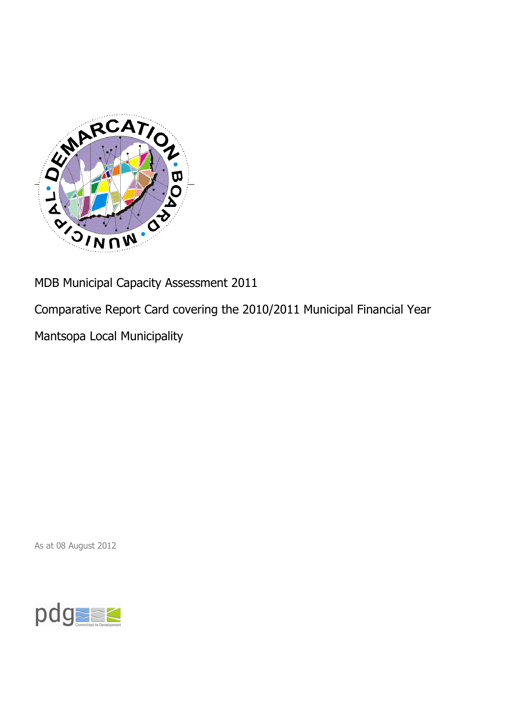

MDB Municipal Capacity Assessment 2011

Comparative Report Card covering the 2010/2011 Municipal Financial Year

Mantsopa Local Municipality

As at 08 August 2012

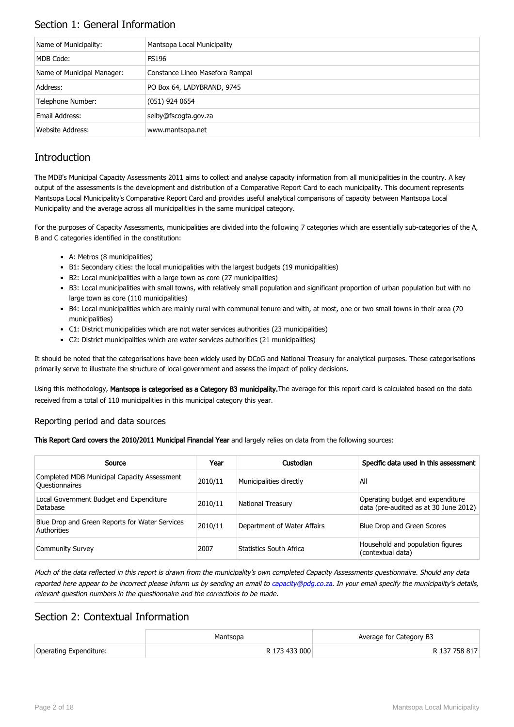## Section 1: General Information

| Name of Municipality:      | Mantsopa Local Municipality     |
|----------------------------|---------------------------------|
| MDB Code:                  | <b>FS196</b>                    |
| Name of Municipal Manager: | Constance Lineo Masefora Rampai |
| Address:                   | PO Box 64, LADYBRAND, 9745      |
| Telephone Number:          | $(051)$ 924 0654                |
| Email Address:             | selby@fscogta.gov.za            |
| Website Address:           | www.mantsopa.net                |

# **Introduction**

The MDB's Municipal Capacity Assessments 2011 aims to collect and analyse capacity information from all municipalities in the country. A key output of the assessments is the development and distribution of a Comparative Report Card to each municipality. This document represents Mantsopa Local Municipality's Comparative Report Card and provides useful analytical comparisons of capacity between Mantsopa Local Municipality and the average across all municipalities in the same municipal category.

For the purposes of Capacity Assessments, municipalities are divided into the following 7 categories which are essentially sub-categories of the A, B and C categories identified in the constitution:

- A: Metros (8 municipalities)
- B1: Secondary cities: the local municipalities with the largest budgets (19 municipalities)
- B2: Local municipalities with a large town as core (27 municipalities)
- B3: Local municipalities with small towns, with relatively small population and significant proportion of urban population but with no large town as core (110 municipalities)
- B4: Local municipalities which are mainly rural with communal tenure and with, at most, one or two small towns in their area (70 municipalities)
- C1: District municipalities which are not water services authorities (23 municipalities)
- C2: District municipalities which are water services authorities (21 municipalities)

It should be noted that the categorisations have been widely used by DCoG and National Treasury for analytical purposes. These categorisations primarily serve to illustrate the structure of local government and assess the impact of policy decisions.

Using this methodology, Mantsopa is categorised as a Category B3 municipality. The average for this report card is calculated based on the data received from a total of 110 municipalities in this municipal category this year.

### Reporting period and data sources

This Report Card covers the 2010/2011 Municipal Financial Year and largely relies on data from the following sources:

| Source                                                               | Year    | Custodian                   | Specific data used in this assessment                                     |
|----------------------------------------------------------------------|---------|-----------------------------|---------------------------------------------------------------------------|
| Completed MDB Municipal Capacity Assessment<br><b>Ouestionnaires</b> | 2010/11 | Municipalities directly     | All                                                                       |
| Local Government Budget and Expenditure<br>Database                  | 2010/11 | <b>National Treasury</b>    | Operating budget and expenditure<br>data (pre-audited as at 30 June 2012) |
| Blue Drop and Green Reports for Water Services<br>Authorities        | 2010/11 | Department of Water Affairs | Blue Drop and Green Scores                                                |
| <b>Community Survey</b>                                              | 2007    | Statistics South Africa     | Household and population figures<br>(contextual data)                     |

Much of the data reflected in this report is drawn from the municipality's own completed Capacity Assessments questionnaire. Should any data reported here appear to be incorrect please inform us by sending an email to [capacity@pdg.co.za](mailto:capacity@pdg.co.za). In your email specify the municipality's details, relevant question numbers in the questionnaire and the corrections to be made.

## Section 2: Contextual Information

|                        | Mantsopa      | Average for Category B3 |
|------------------------|---------------|-------------------------|
| Operating Expenditure: | R 173 433 000 | R 137 758 817           |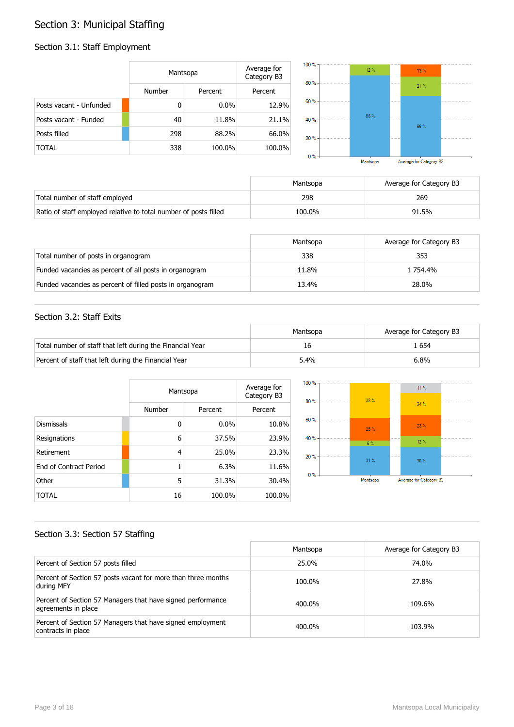# Section 3: Municipal Staffing

## Section 3.1: Staff Employment

|                         | Mantsopa      |         | Average for<br>Category B3 | $100 \%$ -<br>$80% -$ | 12% | 13.% |  |
|-------------------------|---------------|---------|----------------------------|-----------------------|-----|------|--|
|                         | <b>Number</b> | Percent | Percent                    |                       |     | 21%  |  |
| Posts vacant - Unfunded | 0             | $0.0\%$ | 12.9%                      | $60% -$               |     |      |  |
| Posts vacant - Funded   | 40            | 11.8%   | 21.1%                      | 40 % -                | 88% | 66%  |  |
| Posts filled            | 298           | 88.2%   | 66.0%                      | $20% -$               |     |      |  |
| <b>TOTAL</b>            | 338           | 100.0%  | 100.0%                     | $0 \% -$              |     |      |  |

|        |                           | Mantsopa |               | Average for Category B3 |     |  |
|--------|---------------------------|----------|---------------|-------------------------|-----|--|
| $0\%$  |                           |          |               |                         |     |  |
| $20\%$ |                           |          | -----------   |                         |     |  |
| ю%     | <br>--------------------- | 88%      | ------------  |                         | 66% |  |
| 50%    |                           |          |               |                         |     |  |
| סי שנ  |                           |          | ------------- |                         | 21% |  |

|                                                                  | Mantsopa | Average for Category B3 |
|------------------------------------------------------------------|----------|-------------------------|
| Total number of staff employed                                   | 298      | 269                     |
| Ratio of staff employed relative to total number of posts filled | 100.0%   | 91.5%                   |

|                                                           | Mantsopa | Average for Category B3 |
|-----------------------------------------------------------|----------|-------------------------|
| Total number of posts in organogram                       | 338      | 353                     |
| Funded vacancies as percent of all posts in organogram    | 11.8%    | 1 754.4%                |
| Funded vacancies as percent of filled posts in organogram | 13.4%    | 28.0%                   |

### Section 3.2: Staff Exits

|                                                           | Mantsopa | Average for Category B3 |
|-----------------------------------------------------------|----------|-------------------------|
| Total number of staff that left during the Financial Year | 16       | . 654                   |
| Percent of staff that left during the Financial Year      | 5.4%     | 6.8%                    |

|                        |        | Mantsopa |         |  |
|------------------------|--------|----------|---------|--|
|                        | Number | Percent  | Percent |  |
| <b>Dismissals</b>      | 0      | $0.0\%$  | 10.8%   |  |
| Resignations           | 6      | 37.5%    | 23.9%   |  |
| Retirement             | 4      | 25.0%    | 23.3%   |  |
| End of Contract Period |        | 6.3%     | 11.6%   |  |
| Other                  | 5      | 31.3%    | 30.4%   |  |
| TOTAL                  | 16     | 100.0%   | 100.0%  |  |



### Section 3.3: Section 57 Staffing

|                                                                                    | Mantsopa | Average for Category B3 |
|------------------------------------------------------------------------------------|----------|-------------------------|
| Percent of Section 57 posts filled                                                 | 25.0%    | 74.0%                   |
| Percent of Section 57 posts vacant for more than three months<br>during MFY        | 100.0%   | 27.8%                   |
| Percent of Section 57 Managers that have signed performance<br>agreements in place | 400.0%   | 109.6%                  |
| Percent of Section 57 Managers that have signed employment<br>contracts in place   | 400.0%   | 103.9%                  |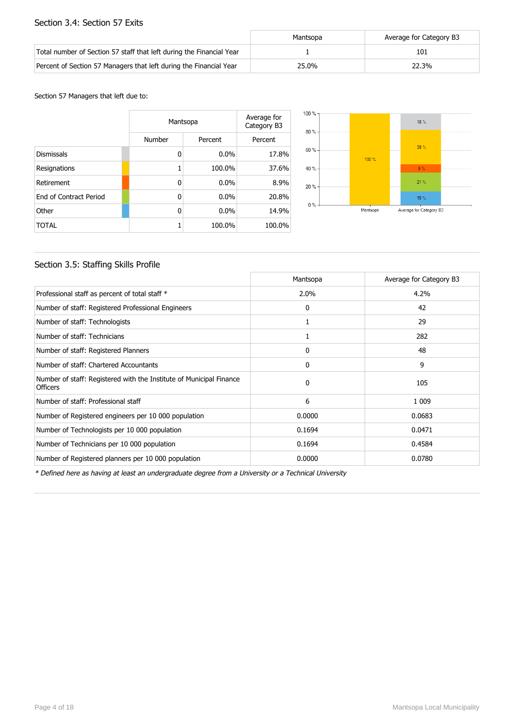### Section 3.4: Section 57 Exits

|                                                                      | Mantsopa | Average for Category B3 |
|----------------------------------------------------------------------|----------|-------------------------|
| Total number of Section 57 staff that left during the Financial Year |          | 101                     |
| Percent of Section 57 Managers that left during the Financial Year   | 25.0%    | 22.3%                   |

#### Section 57 Managers that left due to:

|                        |        | Mantsopa |         |  |
|------------------------|--------|----------|---------|--|
|                        | Number | Percent  | Percent |  |
| <b>Dismissals</b>      | 0      | $0.0\%$  | 17.8%   |  |
| Resignations           | 1      | 100.0%   | 37.6%   |  |
| Retirement             | 0      | $0.0\%$  | 8.9%    |  |
| End of Contract Period | 0      | $0.0\%$  | 20.8%   |  |
| Other                  | 0      | $0.0\%$  | 14.9%   |  |
| <b>TOTAL</b>           | 1      | 100.0%   | 100.0%  |  |



### Section 3.5: Staffing Skills Profile

|                                                                                        | Mantsopa | Average for Category B3 |
|----------------------------------------------------------------------------------------|----------|-------------------------|
| Professional staff as percent of total staff *                                         | 2.0%     | 4.2%                    |
| Number of staff: Registered Professional Engineers                                     | 0        | 42                      |
| Number of staff: Technologists                                                         |          | 29                      |
| Number of staff: Technicians                                                           |          | 282                     |
| Number of staff: Registered Planners                                                   | 0        | 48                      |
| Number of staff: Chartered Accountants                                                 | 0        | 9                       |
| Number of staff: Registered with the Institute of Municipal Finance<br><b>Officers</b> | $\Omega$ | 105                     |
| Number of staff: Professional staff                                                    | 6        | 1 0 0 9                 |
| Number of Registered engineers per 10 000 population                                   | 0.0000   | 0.0683                  |
| Number of Technologists per 10 000 population                                          | 0.1694   | 0.0471                  |
| Number of Technicians per 10 000 population                                            | 0.1694   | 0.4584                  |
| Number of Registered planners per 10 000 population                                    | 0.0000   | 0.0780                  |

\* Defined here as having at least an undergraduate degree from a University or a Technical University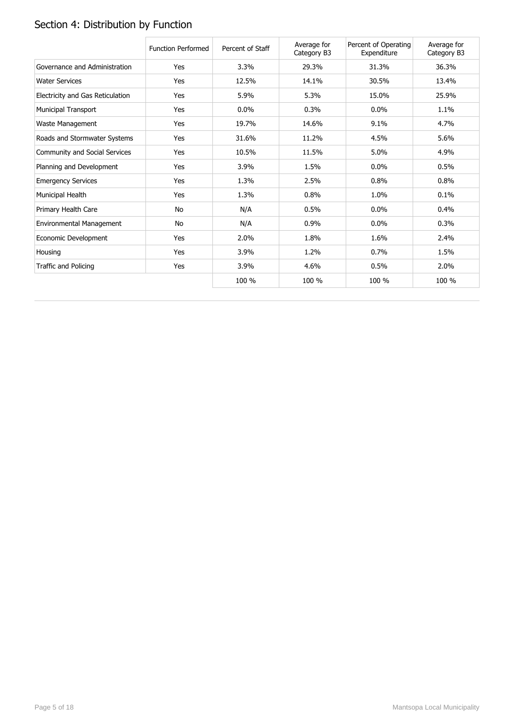# Section 4: Distribution by Function

|                                  | <b>Function Performed</b> | Percent of Staff | Average for<br>Category B3 | Percent of Operating<br>Expenditure | Average for<br>Category B3 |
|----------------------------------|---------------------------|------------------|----------------------------|-------------------------------------|----------------------------|
| Governance and Administration    | Yes                       | 3.3%             | 29.3%                      | 31.3%                               | 36.3%                      |
| <b>Water Services</b>            | Yes                       | 12.5%            | 14.1%                      | 30.5%                               | 13.4%                      |
| Electricity and Gas Reticulation | Yes                       | 5.9%             | 5.3%                       | 15.0%                               | 25.9%                      |
| Municipal Transport              | Yes                       | 0.0%             | 0.3%                       | 0.0%                                | 1.1%                       |
| Waste Management                 | Yes                       | 19.7%            | 14.6%                      | 9.1%                                | 4.7%                       |
| Roads and Stormwater Systems     | Yes                       | 31.6%            | 11.2%                      | 4.5%                                | 5.6%                       |
| Community and Social Services    | Yes                       | 10.5%            | 11.5%                      | 5.0%                                | 4.9%                       |
| Planning and Development         | Yes                       | 3.9%             | 1.5%                       | 0.0%                                | 0.5%                       |
| <b>Emergency Services</b>        | Yes                       | 1.3%             | 2.5%                       | 0.8%                                | 0.8%                       |
| Municipal Health                 | Yes                       | 1.3%             | 0.8%                       | 1.0%                                | 0.1%                       |
| Primary Health Care              | No                        | N/A              | 0.5%                       | 0.0%                                | 0.4%                       |
| Environmental Management         | No                        | N/A              | 0.9%                       | 0.0%                                | 0.3%                       |
| Economic Development             | Yes                       | 2.0%             | 1.8%                       | 1.6%                                | 2.4%                       |
| Housing                          | Yes                       | 3.9%             | 1.2%                       | 0.7%                                | 1.5%                       |
| Traffic and Policing             | Yes                       | 3.9%             | 4.6%                       | 0.5%                                | 2.0%                       |
|                                  |                           | 100 %            | 100 %                      | 100 %                               | 100 %                      |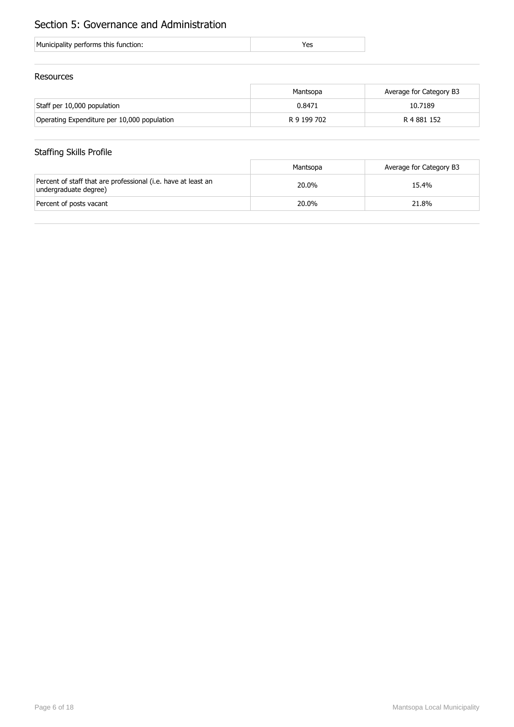# Section 5: Governance and Administration

| Municipality performs this function: |
|--------------------------------------|
|--------------------------------------|

### Resources

|                                             | Mantsopa    | Average for Category B3 |
|---------------------------------------------|-------------|-------------------------|
| Staff per 10,000 population                 | 0.8471      | 10.7189                 |
| Operating Expenditure per 10,000 population | R 9 199 702 | R 4 881 152             |

## Staffing Skills Profile

|                                                                                        | Mantsopa | Average for Category B3 |
|----------------------------------------------------------------------------------------|----------|-------------------------|
| Percent of staff that are professional (i.e. have at least an<br>undergraduate degree) | 20.0%    | 15.4%                   |
| Percent of posts vacant                                                                | 20.0%    | 21.8%                   |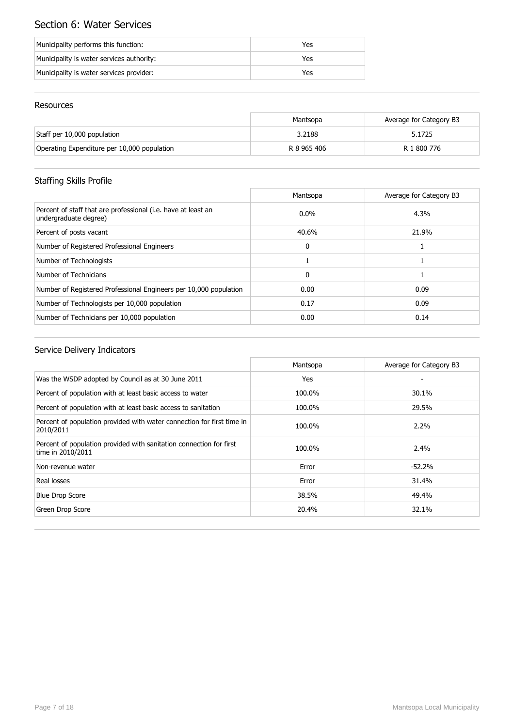# Section 6: Water Services

| Municipality performs this function:      | Yes |
|-------------------------------------------|-----|
| Municipality is water services authority: | Yes |
| Municipality is water services provider:  | Yes |

### Resources

|                                             | Mantsopa    | Average for Category B3 |
|---------------------------------------------|-------------|-------------------------|
| Staff per 10,000 population                 | 3.2188      | 5.1725                  |
| Operating Expenditure per 10,000 population | R 8 965 406 | R 1 800 776             |

# Staffing Skills Profile

|                                                                                        | Mantsopa     | Average for Category B3 |
|----------------------------------------------------------------------------------------|--------------|-------------------------|
| Percent of staff that are professional (i.e. have at least an<br>undergraduate degree) | $0.0\%$      | 4.3%                    |
| Percent of posts vacant                                                                | 40.6%        | 21.9%                   |
| Number of Registered Professional Engineers                                            | $\mathbf{0}$ |                         |
| Number of Technologists                                                                |              |                         |
| Number of Technicians                                                                  | $\mathbf{0}$ |                         |
| Number of Registered Professional Engineers per 10,000 population                      | 0.00         | 0.09                    |
| Number of Technologists per 10,000 population                                          | 0.17         | 0.09                    |
| Number of Technicians per 10,000 population                                            | 0.00         | 0.14                    |

|                                                                                          | Mantsopa | Average for Category B3 |
|------------------------------------------------------------------------------------------|----------|-------------------------|
| Was the WSDP adopted by Council as at 30 June 2011                                       | Yes      |                         |
| Percent of population with at least basic access to water                                | 100.0%   | 30.1%                   |
| Percent of population with at least basic access to sanitation                           | 100.0%   | 29.5%                   |
| Percent of population provided with water connection for first time in<br>2010/2011      | 100.0%   | $2.2\%$                 |
| Percent of population provided with sanitation connection for first<br>time in 2010/2011 | 100.0%   | $2.4\%$                 |
| Non-revenue water                                                                        | Error    | $-52.2%$                |
| Real losses                                                                              | Error    | 31.4%                   |
| <b>Blue Drop Score</b>                                                                   | 38.5%    | 49.4%                   |
| Green Drop Score                                                                         | 20.4%    | 32.1%                   |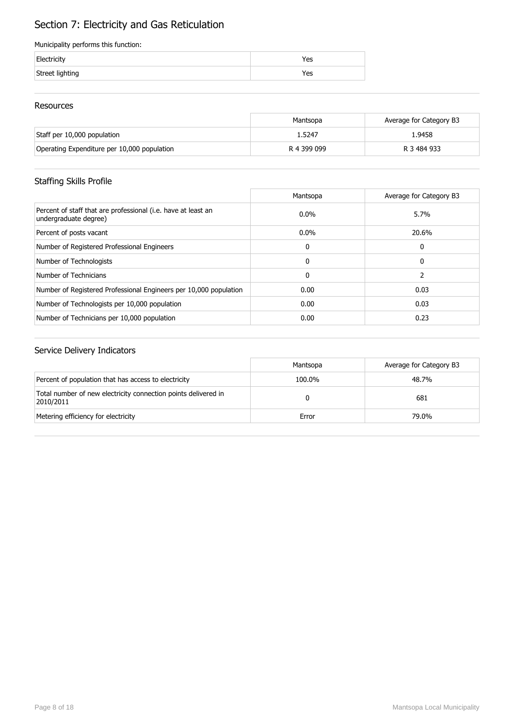# Section 7: Electricity and Gas Reticulation

#### Municipality performs this function:

| Electricity     | 'es |
|-----------------|-----|
| Street lighting | res |

### Resources

|                                             | Mantsopa    | Average for Category B3 |
|---------------------------------------------|-------------|-------------------------|
| Staff per 10,000 population                 | 1.5247      | 1.9458                  |
| Operating Expenditure per 10,000 population | R 4 399 099 | R 3 484 933             |

## Staffing Skills Profile

|                                                                                        | Mantsopa     | Average for Category B3 |
|----------------------------------------------------------------------------------------|--------------|-------------------------|
| Percent of staff that are professional (i.e. have at least an<br>undergraduate degree) | $0.0\%$      | 5.7%                    |
| Percent of posts vacant                                                                | $0.0\%$      | 20.6%                   |
| Number of Registered Professional Engineers                                            | 0            | 0                       |
| Number of Technologists                                                                | 0            | 0                       |
| Number of Technicians                                                                  | $\mathbf{0}$ |                         |
| Number of Registered Professional Engineers per 10,000 population                      | 0.00         | 0.03                    |
| Number of Technologists per 10,000 population                                          | 0.00         | 0.03                    |
| Number of Technicians per 10,000 population                                            | 0.00         | 0.23                    |

|                                                                             | Mantsopa | Average for Category B3 |
|-----------------------------------------------------------------------------|----------|-------------------------|
| Percent of population that has access to electricity                        | 100.0%   | 48.7%                   |
| Total number of new electricity connection points delivered in<br>2010/2011 |          | 681                     |
| Metering efficiency for electricity                                         | Error    | 79.0%                   |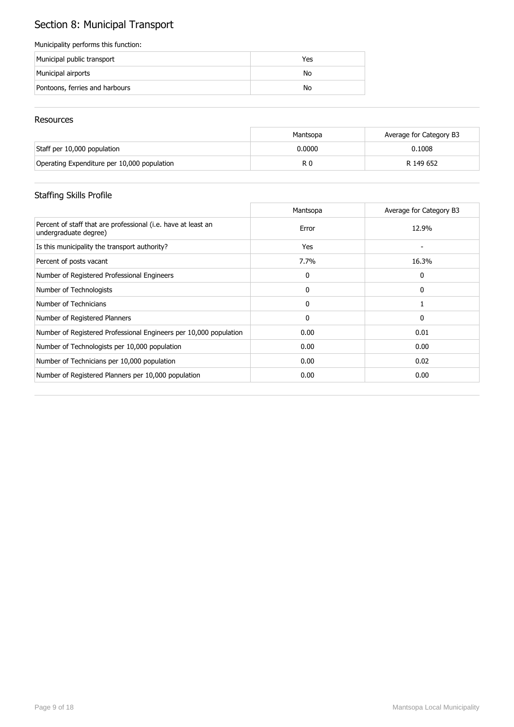# Section 8: Municipal Transport

#### Municipality performs this function:

| Municipal public transport     | Yes |
|--------------------------------|-----|
| Municipal airports             | No  |
| Pontoons, ferries and harbours | No  |

### Resources

|                                             | Mantsopa | Average for Category B3 |
|---------------------------------------------|----------|-------------------------|
| Staff per 10,000 population                 | 0.0000   | 0.1008                  |
| Operating Expenditure per 10,000 population | R C      | R 149 652               |

# Staffing Skills Profile

|                                                                                        | Mantsopa | Average for Category B3 |
|----------------------------------------------------------------------------------------|----------|-------------------------|
| Percent of staff that are professional (i.e. have at least an<br>undergraduate degree) | Error    | 12.9%                   |
| Is this municipality the transport authority?                                          | Yes      |                         |
| Percent of posts vacant                                                                | 7.7%     | 16.3%                   |
| Number of Registered Professional Engineers                                            | 0        | 0                       |
| Number of Technologists                                                                | 0        | 0                       |
| Number of Technicians                                                                  | 0        |                         |
| Number of Registered Planners                                                          | 0        | 0                       |
| Number of Registered Professional Engineers per 10,000 population                      | 0.00     | 0.01                    |
| Number of Technologists per 10,000 population                                          | 0.00     | 0.00                    |
| Number of Technicians per 10,000 population                                            | 0.00     | 0.02                    |
| Number of Registered Planners per 10,000 population                                    | 0.00     | 0.00                    |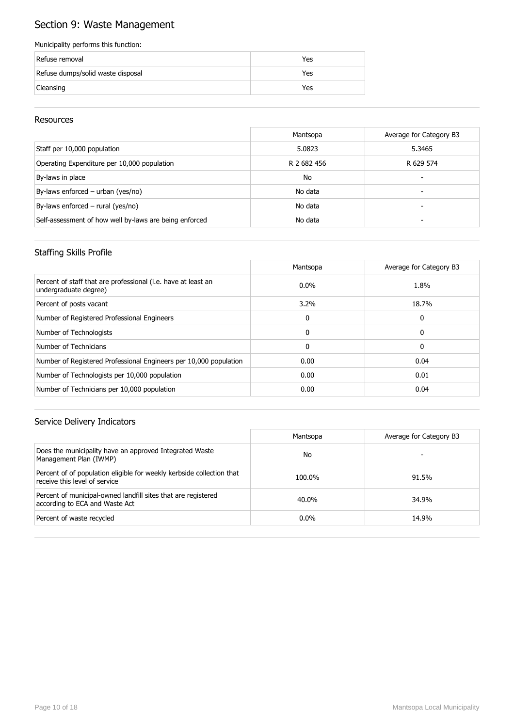# Section 9: Waste Management

#### Municipality performs this function:

| Refuse removal                    | Yes |
|-----------------------------------|-----|
| Refuse dumps/solid waste disposal | Yes |
| Cleansing                         | Yes |

### Resources

|                                                        | Mantsopa    | Average for Category B3 |
|--------------------------------------------------------|-------------|-------------------------|
| Staff per 10,000 population                            | 5.0823      | 5.3465                  |
| Operating Expenditure per 10,000 population            | R 2 682 456 | R 629 574               |
| By-laws in place                                       | <b>No</b>   |                         |
| By-laws enforced - urban (yes/no)                      | No data     | -                       |
| By-laws enforced $-$ rural (yes/no)                    | No data     |                         |
| Self-assessment of how well by-laws are being enforced | No data     |                         |

### Staffing Skills Profile

|                                                                                        | Mantsopa     | Average for Category B3 |
|----------------------------------------------------------------------------------------|--------------|-------------------------|
| Percent of staff that are professional (i.e. have at least an<br>undergraduate degree) | $0.0\%$      | 1.8%                    |
| Percent of posts vacant                                                                | 3.2%         | 18.7%                   |
| Number of Registered Professional Engineers                                            | 0            | 0                       |
| Number of Technologists                                                                | $\Omega$     | 0                       |
| Number of Technicians                                                                  | $\mathbf{0}$ | 0                       |
| Number of Registered Professional Engineers per 10,000 population                      | 0.00         | 0.04                    |
| Number of Technologists per 10,000 population                                          | 0.00         | 0.01                    |
| Number of Technicians per 10,000 population                                            | 0.00         | 0.04                    |

|                                                                                                        | Mantsopa | Average for Category B3 |
|--------------------------------------------------------------------------------------------------------|----------|-------------------------|
| Does the municipality have an approved Integrated Waste<br>Management Plan (IWMP)                      | No       |                         |
| Percent of of population eligible for weekly kerbside collection that<br>receive this level of service | 100.0%   | 91.5%                   |
| Percent of municipal-owned landfill sites that are registered<br>according to ECA and Waste Act        | 40.0%    | 34.9%                   |
| Percent of waste recycled                                                                              | $0.0\%$  | 14.9%                   |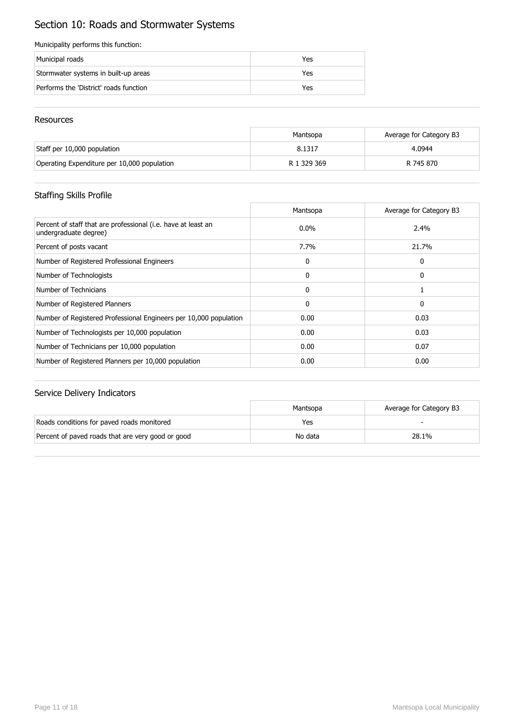# Section 10: Roads and Stormwater Systems

#### Municipality performs this function:

| Municipal roads                        | Yes |
|----------------------------------------|-----|
| Stormwater systems in built-up areas   | Yes |
| Performs the 'District' roads function | Yes |

#### Resources

|                                             | Mantsopa    | Average for Category B3 |
|---------------------------------------------|-------------|-------------------------|
| Staff per 10,000 population                 | 8.1317      | 4.0944                  |
| Operating Expenditure per 10,000 population | R 1 329 369 | R 745 870               |

## Staffing Skills Profile

|                                                                                        | Mantsopa     | Average for Category B3 |
|----------------------------------------------------------------------------------------|--------------|-------------------------|
| Percent of staff that are professional (i.e. have at least an<br>undergraduate degree) | $0.0\%$      | 2.4%                    |
| Percent of posts vacant                                                                | 7.7%         | 21.7%                   |
| Number of Registered Professional Engineers                                            | $\mathbf{0}$ | 0                       |
| Number of Technologists                                                                | $\mathbf{0}$ | 0                       |
| Number of Technicians                                                                  | $\mathbf{0}$ |                         |
| Number of Registered Planners                                                          | $\mathbf{0}$ | 0                       |
| Number of Registered Professional Engineers per 10,000 population                      | 0.00         | 0.03                    |
| Number of Technologists per 10,000 population                                          | 0.00         | 0.03                    |
| Number of Technicians per 10,000 population                                            | 0.00         | 0.07                    |
| Number of Registered Planners per 10,000 population                                    | 0.00         | 0.00                    |

|                                                   | Mantsopa | Average for Category B3 |
|---------------------------------------------------|----------|-------------------------|
| Roads conditions for paved roads monitored        | Yes      |                         |
| Percent of paved roads that are very good or good | No data  | 28.1%                   |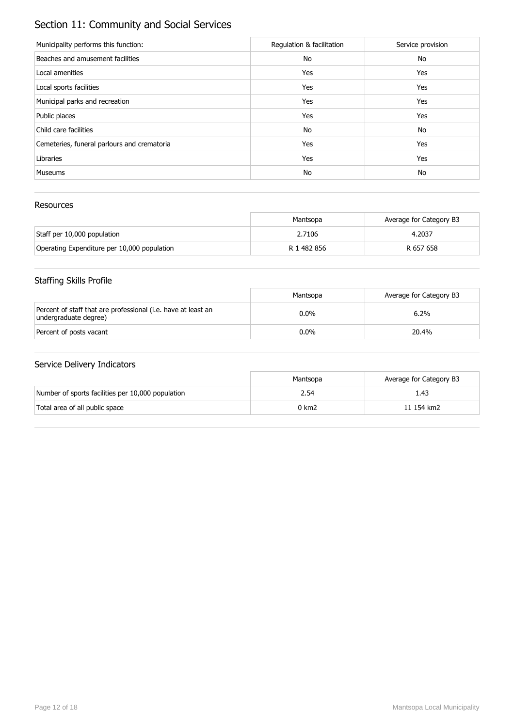# Section 11: Community and Social Services

| Municipality performs this function:        | Regulation & facilitation | Service provision |
|---------------------------------------------|---------------------------|-------------------|
| Beaches and amusement facilities            | No                        | No                |
| Local amenities                             | Yes                       | Yes               |
| Local sports facilities                     | Yes                       | Yes               |
| Municipal parks and recreation              | Yes                       | Yes               |
| Public places                               | Yes                       | Yes               |
| Child care facilities                       | No                        | No                |
| Cemeteries, funeral parlours and crematoria | Yes                       | Yes               |
| Libraries                                   | Yes                       | Yes               |
| <b>Museums</b>                              | No                        | No                |

### Resources

|                                             | Mantsopa    | Average for Category B3 |
|---------------------------------------------|-------------|-------------------------|
| Staff per 10,000 population                 | 2.7106      | 4.2037                  |
| Operating Expenditure per 10,000 population | R 1 482 856 | R 657 658               |

# Staffing Skills Profile

|                                                                                        | Mantsopa | Average for Category B3 |
|----------------------------------------------------------------------------------------|----------|-------------------------|
| Percent of staff that are professional (i.e. have at least an<br>undergraduate degree) | $0.0\%$  | 6.2%                    |
| Percent of posts vacant                                                                | $0.0\%$  | 20.4%                   |

|                                                   | Mantsopa | Average for Category B3 |
|---------------------------------------------------|----------|-------------------------|
| Number of sports facilities per 10,000 population | 2.54     | 1.43                    |
| Total area of all public space                    | 0 km2    | 11 154 km2              |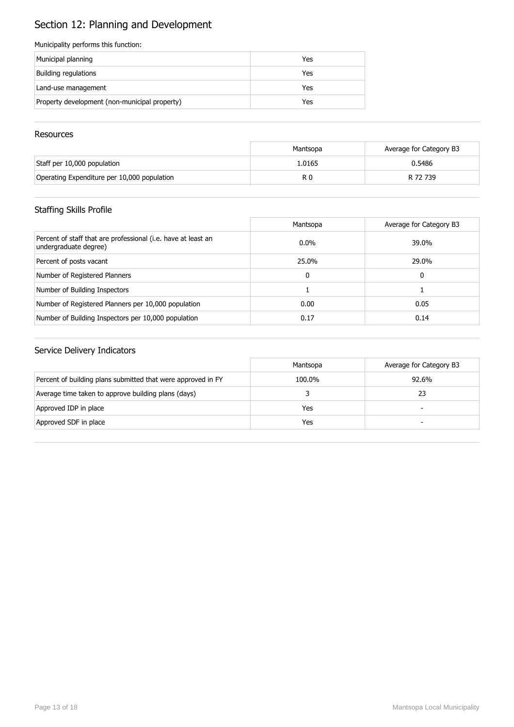# Section 12: Planning and Development

#### Municipality performs this function:

| Municipal planning                            | Yes |
|-----------------------------------------------|-----|
| Building regulations                          | Yes |
| Land-use management                           | Yes |
| Property development (non-municipal property) | Yes |

#### **Resources**

|                                             | Mantsopa | Average for Category B3 |
|---------------------------------------------|----------|-------------------------|
| Staff per 10,000 population                 | 1.0165   | 0.5486                  |
| Operating Expenditure per 10,000 population | R 0      | R 72 739                |

## Staffing Skills Profile

|                                                                                        | Mantsopa | Average for Category B3 |
|----------------------------------------------------------------------------------------|----------|-------------------------|
| Percent of staff that are professional (i.e. have at least an<br>undergraduate degree) | $0.0\%$  | 39.0%                   |
| Percent of posts vacant                                                                | 25.0%    | 29.0%                   |
| Number of Registered Planners                                                          | 0        | 0                       |
| Number of Building Inspectors                                                          |          |                         |
| Number of Registered Planners per 10,000 population                                    | 0.00     | 0.05                    |
| Number of Building Inspectors per 10,000 population                                    | 0.17     | 0.14                    |

|                                                              | Mantsopa | Average for Category B3  |
|--------------------------------------------------------------|----------|--------------------------|
| Percent of building plans submitted that were approved in FY | 100.0%   | 92.6%                    |
| Average time taken to approve building plans (days)          |          | 23                       |
| Approved IDP in place                                        | Yes      | $\overline{\phantom{0}}$ |
| Approved SDF in place                                        | Yes      | -                        |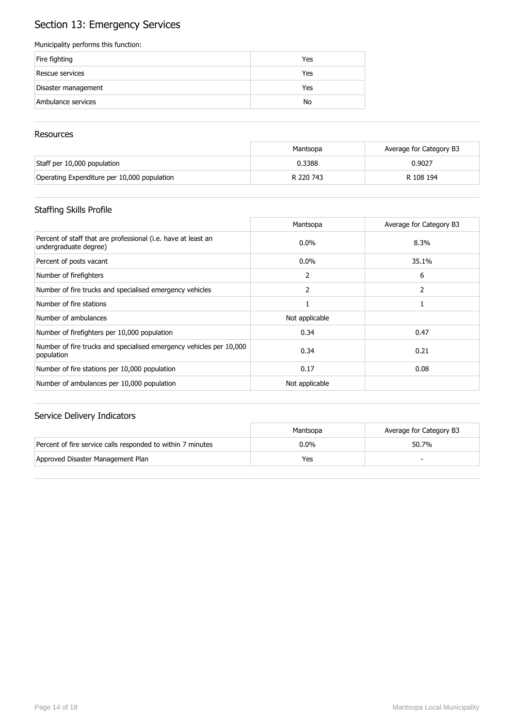# Section 13: Emergency Services

#### Municipality performs this function:

| Fire fighting       | Yes |
|---------------------|-----|
| Rescue services     | Yes |
| Disaster management | Yes |
| Ambulance services  | No  |

#### **Resources**

|                                             | Mantsopa  | Average for Category B3 |
|---------------------------------------------|-----------|-------------------------|
| Staff per 10,000 population                 | 0.3388    | 0.9027                  |
| Operating Expenditure per 10,000 population | R 220 743 | R 108 194               |

## Staffing Skills Profile

|                                                                                        | Mantsopa       | Average for Category B3 |
|----------------------------------------------------------------------------------------|----------------|-------------------------|
| Percent of staff that are professional (i.e. have at least an<br>undergraduate degree) | $0.0\%$        | 8.3%                    |
| Percent of posts vacant                                                                | $0.0\%$        | 35.1%                   |
| Number of firefighters                                                                 | 2              | 6                       |
| Number of fire trucks and specialised emergency vehicles                               | 2              |                         |
| Number of fire stations                                                                |                |                         |
| Number of ambulances                                                                   | Not applicable |                         |
| Number of firefighters per 10,000 population                                           | 0.34           | 0.47                    |
| Number of fire trucks and specialised emergency vehicles per 10,000<br>population      | 0.34           | 0.21                    |
| Number of fire stations per 10,000 population                                          | 0.17           | 0.08                    |
| Number of ambulances per 10,000 population                                             | Not applicable |                         |

|                                                             | Mantsopa | Average for Category B3 |
|-------------------------------------------------------------|----------|-------------------------|
| Percent of fire service calls responded to within 7 minutes | 0.0%     | 50.7%                   |
| Approved Disaster Management Plan                           | Yes      |                         |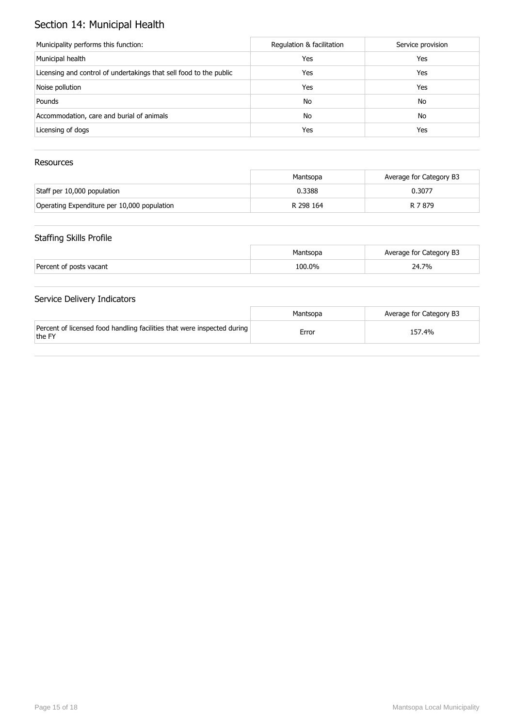# Section 14: Municipal Health

| Municipality performs this function:                               | Regulation & facilitation | Service provision |
|--------------------------------------------------------------------|---------------------------|-------------------|
| Municipal health                                                   | Yes                       | Yes               |
| Licensing and control of undertakings that sell food to the public | Yes                       | Yes               |
| Noise pollution                                                    | Yes                       | Yes               |
| Pounds                                                             | No                        | No                |
| Accommodation, care and burial of animals                          | No                        | No                |
| Licensing of dogs                                                  | Yes                       | Yes               |

## Resources

|                                             | Mantsopa  | Average for Category B3 |
|---------------------------------------------|-----------|-------------------------|
| Staff per 10,000 population                 | 0.3388    | 0.3077                  |
| Operating Expenditure per 10,000 population | R 298 164 | R 7 879                 |

## Staffing Skills Profile

|                         | Mantsopa | Average for Category B3 |
|-------------------------|----------|-------------------------|
| Percent of posts vacant | 100.0%   | 24.7%                   |

|                                                                                   | Mantsopa | Average for Category B3 |
|-----------------------------------------------------------------------------------|----------|-------------------------|
| Percent of licensed food handling facilities that were inspected during<br>the FY | Error    | 157.4%                  |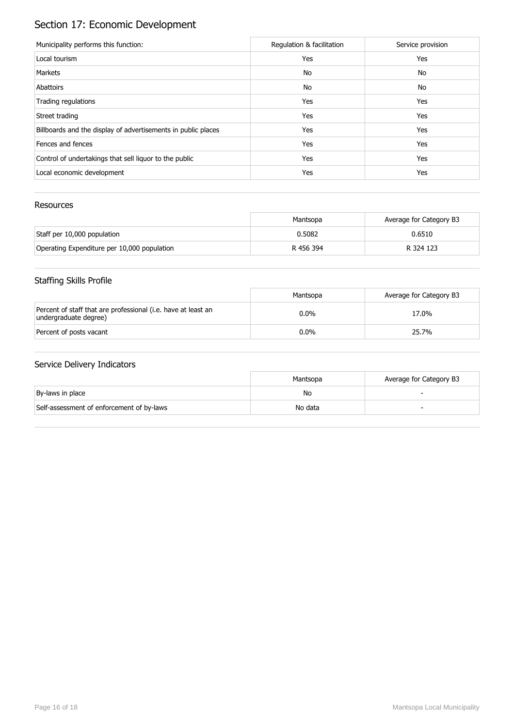# Section 17: Economic Development

| Municipality performs this function:                          | Regulation & facilitation | Service provision |
|---------------------------------------------------------------|---------------------------|-------------------|
| Local tourism                                                 | Yes                       | Yes               |
| Markets                                                       | No                        | No                |
| Abattoirs                                                     | No                        | No                |
| Trading regulations                                           | Yes                       | Yes               |
| Street trading                                                | Yes                       | Yes               |
| Billboards and the display of advertisements in public places | Yes                       | Yes               |
| Fences and fences                                             | Yes                       | Yes               |
| Control of undertakings that sell liquor to the public        | Yes                       | Yes               |
| Local economic development                                    | Yes                       | Yes               |

### Resources

|                                             | Mantsopa  | Average for Category B3 |
|---------------------------------------------|-----------|-------------------------|
| Staff per 10,000 population                 | 0.5082    | 0.6510                  |
| Operating Expenditure per 10,000 population | R 456 394 | R 324 123               |

# Staffing Skills Profile

|                                                                                        | Mantsopa | Average for Category B3 |
|----------------------------------------------------------------------------------------|----------|-------------------------|
| Percent of staff that are professional (i.e. have at least an<br>undergraduate degree) | $0.0\%$  | 17.0%                   |
| Percent of posts vacant                                                                | $0.0\%$  | 25.7%                   |

|                                           | Mantsopa | Average for Category B3 |
|-------------------------------------------|----------|-------------------------|
| By-laws in place                          | No       |                         |
| Self-assessment of enforcement of by-laws | No data  |                         |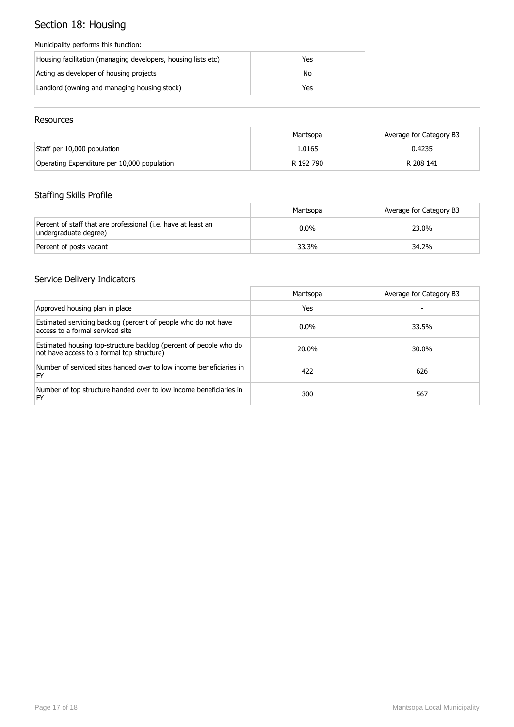# Section 18: Housing

#### Municipality performs this function:

| Housing facilitation (managing developers, housing lists etc) | Yes |
|---------------------------------------------------------------|-----|
| Acting as developer of housing projects                       | No  |
| Landlord (owning and managing housing stock)                  | Yes |

### Resources

|                                             | Mantsopa  | Average for Category B3 |
|---------------------------------------------|-----------|-------------------------|
| Staff per 10,000 population                 | 1.0165    | 0.4235                  |
| Operating Expenditure per 10,000 population | R 192 790 | R 208 141               |

# Staffing Skills Profile

|                                                                                        | Mantsopa | Average for Category B3 |
|----------------------------------------------------------------------------------------|----------|-------------------------|
| Percent of staff that are professional (i.e. have at least an<br>undergraduate degree) | $0.0\%$  | 23.0%                   |
| Percent of posts vacant                                                                | 33.3%    | 34.2%                   |

|                                                                                                                 | Mantsopa | Average for Category B3 |
|-----------------------------------------------------------------------------------------------------------------|----------|-------------------------|
| Approved housing plan in place                                                                                  | Yes      |                         |
| Estimated servicing backlog (percent of people who do not have<br>access to a formal serviced site              | $0.0\%$  | 33.5%                   |
| Estimated housing top-structure backlog (percent of people who do<br>not have access to a formal top structure) | 20.0%    | 30.0%                   |
| Number of serviced sites handed over to low income beneficiaries in<br>FY                                       | 422      | 626                     |
| Number of top structure handed over to low income beneficiaries in<br>FY                                        | 300      | 567                     |